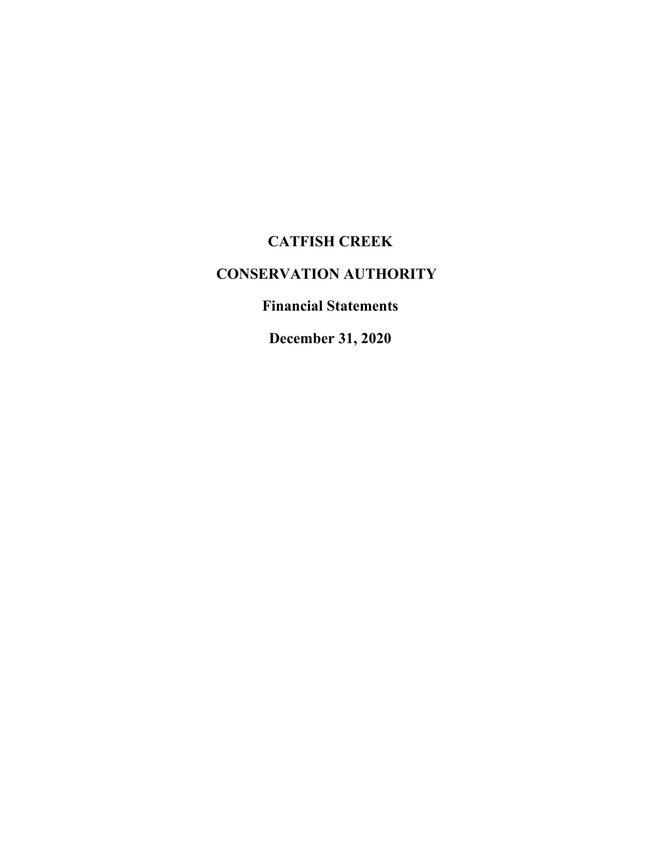# **CATFISH CREEK**

# **CONSERVATION AUTHORITY**

**Financial Statements**

**December 31, 2020**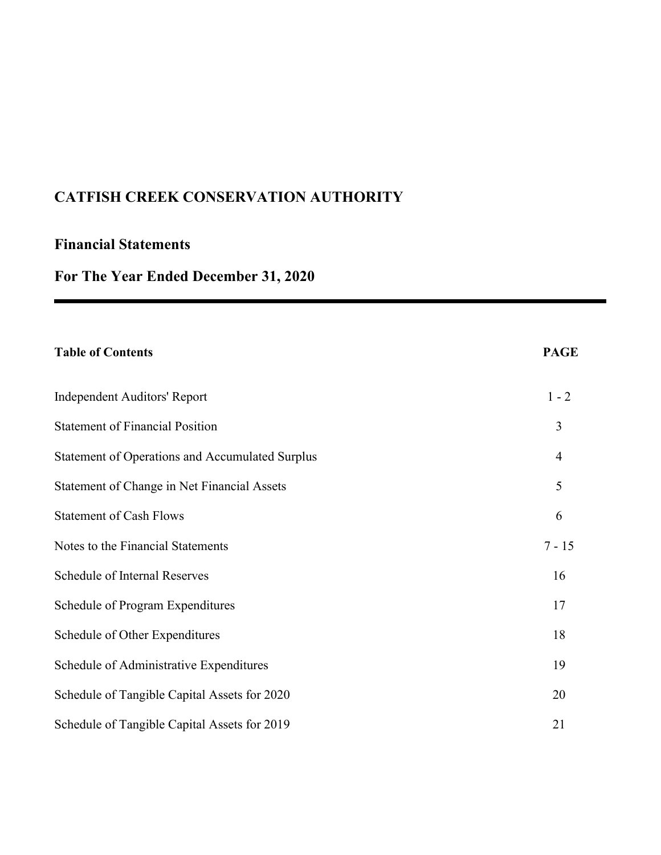## **Financial Statements**

# **For The Year Ended December 31, 2020**

| <b>Table of Contents</b>                               | <b>PAGE</b>    |
|--------------------------------------------------------|----------------|
| <b>Independent Auditors' Report</b>                    | $1 - 2$        |
| <b>Statement of Financial Position</b>                 | 3              |
| <b>Statement of Operations and Accumulated Surplus</b> | $\overline{4}$ |
| Statement of Change in Net Financial Assets            | 5              |
| <b>Statement of Cash Flows</b>                         | 6              |
| Notes to the Financial Statements                      | $7 - 15$       |
| Schedule of Internal Reserves                          | 16             |
| Schedule of Program Expenditures                       | 17             |
| Schedule of Other Expenditures                         | 18             |
| Schedule of Administrative Expenditures                | 19             |
| Schedule of Tangible Capital Assets for 2020           | 20             |
| Schedule of Tangible Capital Assets for 2019           | 21             |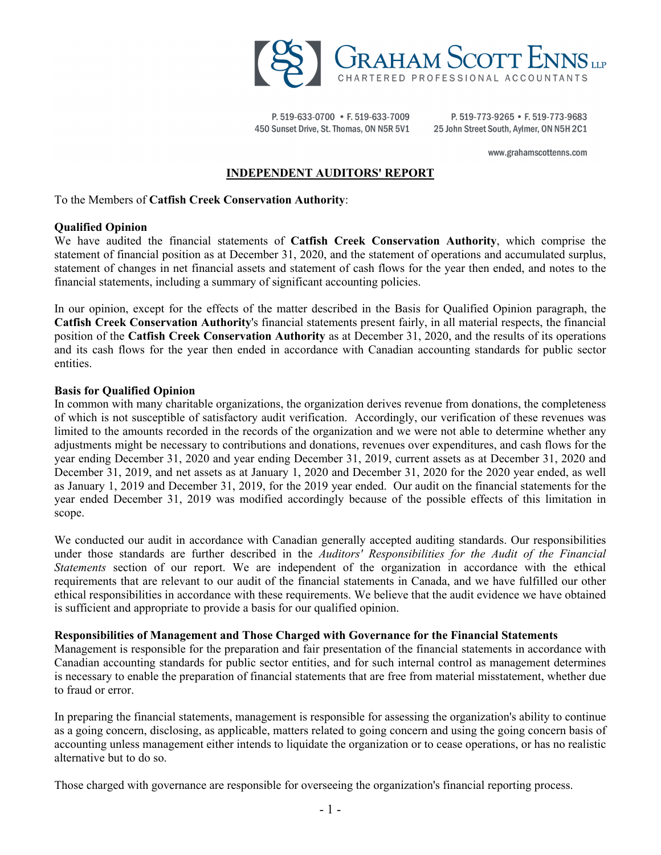

P. 519-633-0700 • F. 519-633-7009 450 Sunset Drive, St. Thomas, ON N5R 5V1

P. 519-773-9265 • F. 519-773-9683 25 John Street South, Aylmer, ON N5H 2C1

www.grahamscottenns.com

#### **INDEPENDENT AUDITORS' REPORT**

To the Members of **Catfish Creek Conservation Authority**:

#### **Qualified Opinion**

We have audited the financial statements of **Catfish Creek Conservation Authority**, which comprise the statement of financial position as at December 31, 2020, and the statement of operations and accumulated surplus, statement of changes in net financial assets and statement of cash flows for the year then ended, and notes to the financial statements, including a summary of significant accounting policies.

In our opinion, except for the effects of the matter described in the Basis for Qualified Opinion paragraph, the **Catfish Creek Conservation Authority**'s financial statements present fairly, in all material respects, the financial position of the **Catfish Creek Conservation Authority** as at December 31, 2020, and the results of its operations and its cash flows for the year then ended in accordance with Canadian accounting standards for public sector entities.

#### **Basis for Qualified Opinion**

In common with many charitable organizations, the organization derives revenue from donations, the completeness of which is not susceptible of satisfactory audit verification. Accordingly, our verification of these revenues was limited to the amounts recorded in the records of the organization and we were not able to determine whether any adjustments might be necessary to contributions and donations, revenues over expenditures, and cash flows for the year ending December 31, 2020 and year ending December 31, 2019, current assets as at December 31, 2020 and December 31, 2019, and net assets as at January 1, 2020 and December 31, 2020 for the 2020 year ended, as well as January 1, 2019 and December 31, 2019, for the 2019 year ended. Our audit on the financial statements for the year ended December 31, 2019 was modified accordingly because of the possible effects of this limitation in scope.

We conducted our audit in accordance with Canadian generally accepted auditing standards. Our responsibilities under those standards are further described in the *Auditors' Responsibilities for the Audit of the Financial Statements* section of our report. We are independent of the organization in accordance with the ethical requirements that are relevant to our audit of the financial statements in Canada, and we have fulfilled our other ethical responsibilities in accordance with these requirements. We believe that the audit evidence we have obtained is sufficient and appropriate to provide a basis for our qualified opinion.

#### **Responsibilities of Management and Those Charged with Governance for the Financial Statements**

Management is responsible for the preparation and fair presentation of the financial statements in accordance with Canadian accounting standards for public sector entities, and for such internal control as management determines is necessary to enable the preparation of financial statements that are free from material misstatement, whether due to fraud or error.

In preparing the financial statements, management is responsible for assessing the organization's ability to continue as a going concern, disclosing, as applicable, matters related to going concern and using the going concern basis of accounting unless management either intends to liquidate the organization or to cease operations, or has no realistic alternative but to do so.

Those charged with governance are responsible for overseeing the organization's financial reporting process.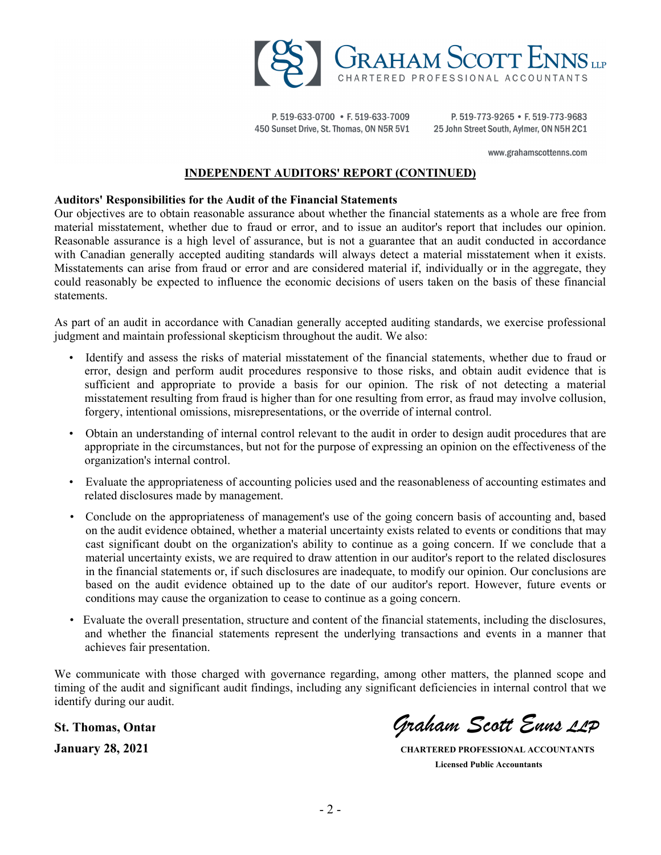

P. 519-633-0700 • F. 519-633-7009 450 Sunset Drive, St. Thomas, ON N5R 5V1

P. 519-773-9265 • F. 519-773-9683 25 John Street South, Aylmer, ON N5H 2C1

www.grahamscottenns.com

#### **INDEPENDENT AUDITORS' REPORT (CONTINUED)**

#### **Auditors' Responsibilities for the Audit of the Financial Statements**

Our objectives are to obtain reasonable assurance about whether the financial statements as a whole are free from material misstatement, whether due to fraud or error, and to issue an auditor's report that includes our opinion. Reasonable assurance is a high level of assurance, but is not a guarantee that an audit conducted in accordance with Canadian generally accepted auditing standards will always detect a material misstatement when it exists. Misstatements can arise from fraud or error and are considered material if, individually or in the aggregate, they could reasonably be expected to influence the economic decisions of users taken on the basis of these financial statements.

As part of an audit in accordance with Canadian generally accepted auditing standards, we exercise professional judgment and maintain professional skepticism throughout the audit. We also:

- Identify and assess the risks of material misstatement of the financial statements, whether due to fraud or error, design and perform audit procedures responsive to those risks, and obtain audit evidence that is sufficient and appropriate to provide a basis for our opinion. The risk of not detecting a material misstatement resulting from fraud is higher than for one resulting from error, as fraud may involve collusion, forgery, intentional omissions, misrepresentations, or the override of internal control.
- Obtain an understanding of internal control relevant to the audit in order to design audit procedures that are appropriate in the circumstances, but not for the purpose of expressing an opinion on the effectiveness of the organization's internal control.
- Evaluate the appropriateness of accounting policies used and the reasonableness of accounting estimates and related disclosures made by management.
- Conclude on the appropriateness of management's use of the going concern basis of accounting and, based on the audit evidence obtained, whether a material uncertainty exists related to events or conditions that may cast significant doubt on the organization's ability to continue as a going concern. If we conclude that a material uncertainty exists, we are required to draw attention in our auditor's report to the related disclosures in the financial statements or, if such disclosures are inadequate, to modify our opinion. Our conclusions are based on the audit evidence obtained up to the date of our auditor's report. However, future events or conditions may cause the organization to cease to continue as a going concern.
- Evaluate the overall presentation, structure and content of the financial statements, including the disclosures, and whether the financial statements represent the underlying transactions and events in a manner that achieves fair presentation.

We communicate with those charged with governance regarding, among other matters, the planned scope and timing of the audit and significant audit findings, including any significant deficiencies in internal control that we identify during our audit.

**St. Thomas, Ontario** *Graham Scott Enns LLP*

**January 28, 2021 CHARTERED PROFESSIONAL ACCOUNTANTS Licensed Public Accountants**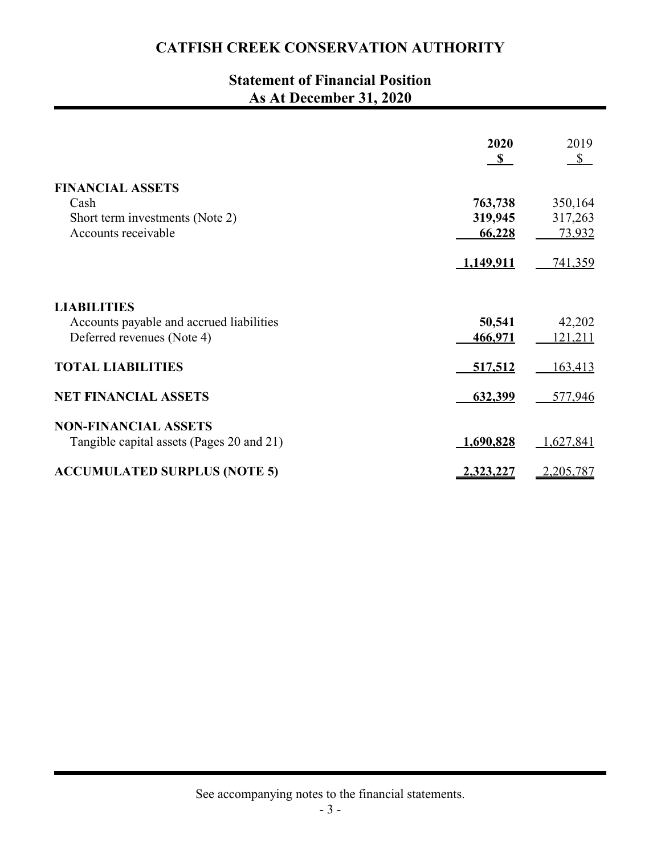## **Statement of Financial Position As At December 31, 2020**

|                                           | 2020<br>$\mathbf{s}$ | 2019<br>$3$    |
|-------------------------------------------|----------------------|----------------|
| <b>FINANCIAL ASSETS</b>                   |                      |                |
| Cash                                      | 763,738              | 350,164        |
| Short term investments (Note 2)           | 319,945              | 317,263        |
| Accounts receivable                       | 66,228               | 73,932         |
|                                           | 1,149,911            | 741,359        |
| <b>LIABILITIES</b>                        |                      |                |
| Accounts payable and accrued liabilities  | 50,541               | 42,202         |
| Deferred revenues (Note 4)                | 466,971              | <u>121,211</u> |
| <b>TOTAL LIABILITIES</b>                  | 517,512              | 163,413        |
| <b>NET FINANCIAL ASSETS</b>               | 632,399              | 577,946        |
| <b>NON-FINANCIAL ASSETS</b>               |                      |                |
| Tangible capital assets (Pages 20 and 21) | <u>1,690,828</u>     | 1,627,841      |
| <b>ACCUMULATED SURPLUS (NOTE 5)</b>       | 2,323,227            | 2,205,787      |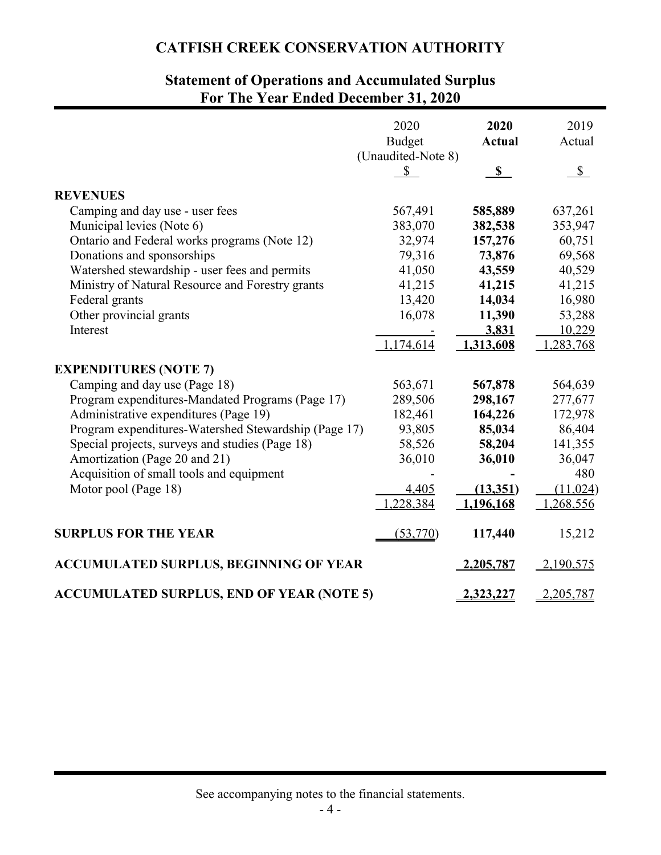## **Statement of Operations and Accumulated Surplus For The Year Ended December 31, 2020**

|                                                      | 2020<br><b>Budget</b><br>(Unaudited-Note 8) | 2020<br><b>Actual</b> | 2019<br>Actual |
|------------------------------------------------------|---------------------------------------------|-----------------------|----------------|
|                                                      | $\mathbb{S}$                                | $\mathbb{S}$          | $\mathbb{S}$   |
| <b>REVENUES</b>                                      |                                             |                       |                |
| Camping and day use - user fees                      | 567,491                                     | 585,889               | 637,261        |
| Municipal levies (Note 6)                            | 383,070                                     | 382,538               | 353,947        |
| Ontario and Federal works programs (Note 12)         | 32,974                                      | 157,276               | 60,751         |
| Donations and sponsorships                           | 79,316                                      | 73,876                | 69,568         |
| Watershed stewardship - user fees and permits        | 41,050                                      | 43,559                | 40,529         |
| Ministry of Natural Resource and Forestry grants     | 41,215                                      | 41,215                | 41,215         |
| Federal grants                                       | 13,420                                      | 14,034                | 16,980         |
| Other provincial grants                              | 16,078                                      | 11,390                | 53,288         |
| Interest                                             |                                             | 3,831                 | 10,229         |
|                                                      | 1,174,614                                   | 1,313,608             | 1,283,768      |
| <b>EXPENDITURES (NOTE 7)</b>                         |                                             |                       |                |
| Camping and day use (Page 18)                        | 563,671                                     | 567,878               | 564,639        |
| Program expenditures-Mandated Programs (Page 17)     | 289,506                                     | 298,167               | 277,677        |
| Administrative expenditures (Page 19)                | 182,461                                     | 164,226               | 172,978        |
| Program expenditures-Watershed Stewardship (Page 17) | 93,805                                      | 85,034                | 86,404         |
| Special projects, surveys and studies (Page 18)      | 58,526                                      | 58,204                | 141,355        |
| Amortization (Page 20 and 21)                        | 36,010                                      | 36,010                | 36,047         |
| Acquisition of small tools and equipment             |                                             |                       | 480            |
| Motor pool (Page 18)                                 | 4,405                                       | (13,351)              | (11, 024)      |
|                                                      | 1,228,384                                   | 1,196,168             | 1,268,556      |
| <b>SURPLUS FOR THE YEAR</b>                          | (53,770)                                    | 117,440               | 15,212         |
| <b>ACCUMULATED SURPLUS, BEGINNING OF YEAR</b>        |                                             | 2,205,787             | 2,190,575      |
| <b>ACCUMULATED SURPLUS, END OF YEAR (NOTE 5)</b>     |                                             | 2,323,227             | 2,205,787      |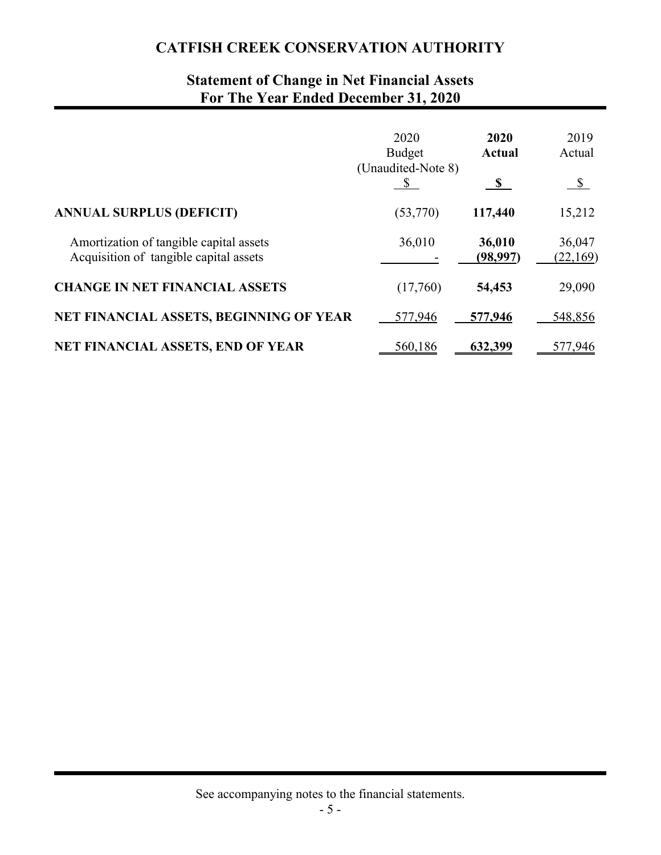## **Statement of Change in Net Financial Assets For The Year Ended December 31, 2020**

|                                                                                   | 2020<br><b>Budget</b><br>(Unaudited-Note 8) | 2020<br><b>Actual</b><br>$\mathbf{s}$ | 2019<br>Actual<br>$\sqrt{\frac{1}{2}}$ |
|-----------------------------------------------------------------------------------|---------------------------------------------|---------------------------------------|----------------------------------------|
| <b>ANNUAL SURPLUS (DEFICIT)</b>                                                   | (53,770)                                    | 117,440                               | 15,212                                 |
| Amortization of tangible capital assets<br>Acquisition of tangible capital assets | 36,010                                      | 36,010<br>(98,997)                    | 36,047<br>(22,169)                     |
| <b>CHANGE IN NET FINANCIAL ASSETS</b>                                             | (17,760)                                    | 54,453                                | 29,090                                 |
| NET FINANCIAL ASSETS, BEGINNING OF YEAR                                           | 577,946                                     | 577,946                               | 548,856                                |
| <b>NET FINANCIAL ASSETS, END OF YEAR</b>                                          | 560,186                                     | 632,399                               | 577,946                                |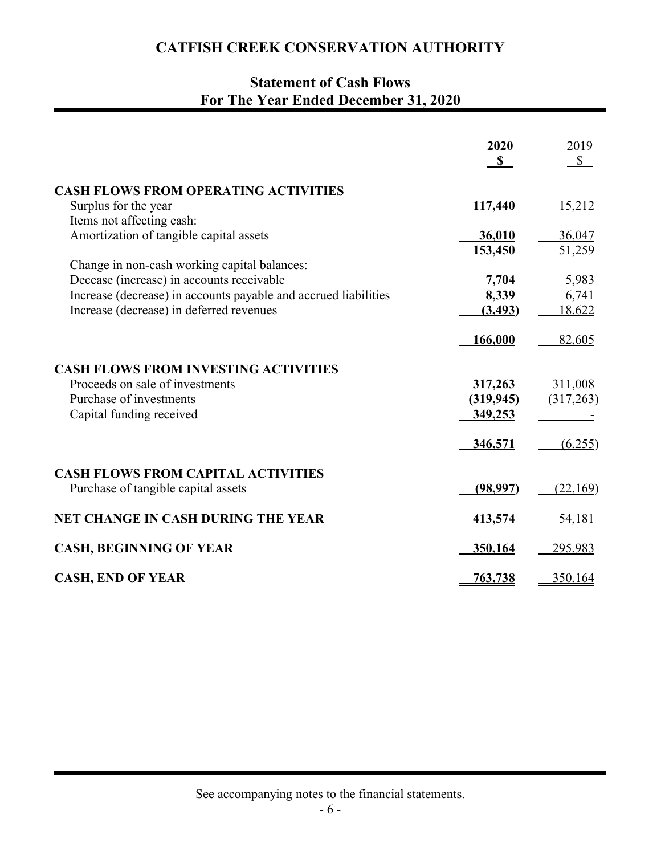## **Statement of Cash Flows For The Year Ended December 31, 2020**

|                                                                 | 2020<br>$\mathbf{s}$ | 2019<br>$\mathbb{S}$ |
|-----------------------------------------------------------------|----------------------|----------------------|
| <b>CASH FLOWS FROM OPERATING ACTIVITIES</b>                     |                      |                      |
| Surplus for the year                                            | 117,440              | 15,212               |
| Items not affecting cash:                                       |                      |                      |
| Amortization of tangible capital assets                         | 36,010               | 36,047               |
|                                                                 | 153,450              | 51,259               |
| Change in non-cash working capital balances:                    |                      |                      |
| Decease (increase) in accounts receivable                       | 7,704                | 5,983                |
| Increase (decrease) in accounts payable and accrued liabilities | 8,339                | 6,741                |
| Increase (decrease) in deferred revenues                        | (3, 493)             | 18,622               |
|                                                                 | 166,000              | 82,605               |
| <b>CASH FLOWS FROM INVESTING ACTIVITIES</b>                     |                      |                      |
| Proceeds on sale of investments                                 | 317,263              | 311,008              |
| Purchase of investments                                         | (319, 945)           | (317,263)            |
| Capital funding received                                        | 349,253              |                      |
|                                                                 |                      |                      |
|                                                                 | 346,571              | (6,255)              |
| <b>CASH FLOWS FROM CAPITAL ACTIVITIES</b>                       |                      |                      |
| Purchase of tangible capital assets                             | (98, 997)            | (22,169)             |
|                                                                 |                      |                      |
| <b>NET CHANGE IN CASH DURING THE YEAR</b>                       | 413,574              | 54,181               |
|                                                                 |                      |                      |
| <b>CASH, BEGINNING OF YEAR</b>                                  | 350,164              | 295,983              |
| <b>CASH, END OF YEAR</b>                                        | 763,738              | 350,164              |

See accompanying notes to the financial statements.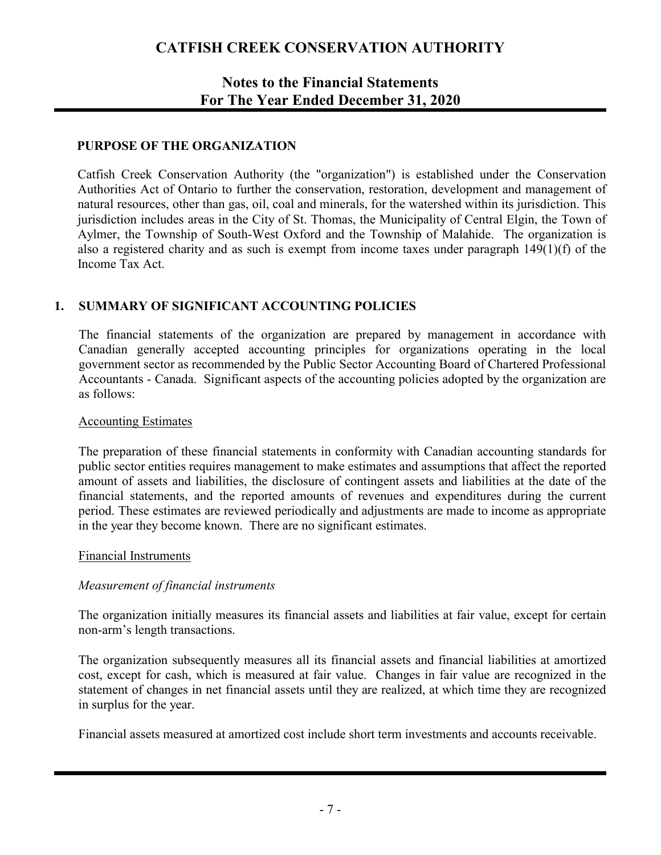## **Notes to the Financial Statements For The Year Ended December 31, 2020**

### **PURPOSE OF THE ORGANIZATION**

Catfish Creek Conservation Authority (the "organization") is established under the Conservation Authorities Act of Ontario to further the conservation, restoration, development and management of natural resources, other than gas, oil, coal and minerals, for the watershed within its jurisdiction. This jurisdiction includes areas in the City of St. Thomas, the Municipality of Central Elgin, the Town of Aylmer, the Township of South-West Oxford and the Township of Malahide. The organization is also a registered charity and as such is exempt from income taxes under paragraph 149(1)(f) of the Income Tax Act.

### **1. SUMMARY OF SIGNIFICANT ACCOUNTING POLICIES**

The financial statements of the organization are prepared by management in accordance with Canadian generally accepted accounting principles for organizations operating in the local government sector as recommended by the Public Sector Accounting Board of Chartered Professional Accountants - Canada. Significant aspects of the accounting policies adopted by the organization are as follows:

### Accounting Estimates

The preparation of these financial statements in conformity with Canadian accounting standards for public sector entities requires management to make estimates and assumptions that affect the reported amount of assets and liabilities, the disclosure of contingent assets and liabilities at the date of the financial statements, and the reported amounts of revenues and expenditures during the current period. These estimates are reviewed periodically and adjustments are made to income as appropriate in the year they become known. There are no significant estimates.

#### Financial Instruments

### *Measurement of financial instruments*

The organization initially measures its financial assets and liabilities at fair value, except for certain non-arm's length transactions.

The organization subsequently measures all its financial assets and financial liabilities at amortized cost, except for cash, which is measured at fair value. Changes in fair value are recognized in the statement of changes in net financial assets until they are realized, at which time they are recognized in surplus for the year.

Financial assets measured at amortized cost include short term investments and accounts receivable.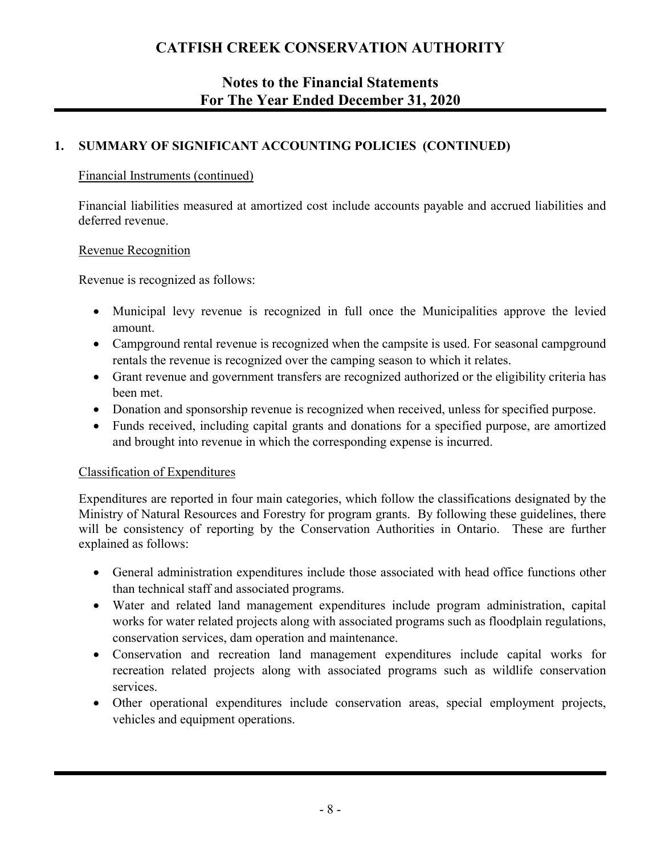## **Notes to the Financial Statements For The Year Ended December 31, 2020**

### **1. SUMMARY OF SIGNIFICANT ACCOUNTING POLICIES (CONTINUED)**

### Financial Instruments (continued)

Financial liabilities measured at amortized cost include accounts payable and accrued liabilities and deferred revenue.

### Revenue Recognition

Revenue is recognized as follows:

- Municipal levy revenue is recognized in full once the Municipalities approve the levied amount.
- Campground rental revenue is recognized when the campsite is used. For seasonal campground rentals the revenue is recognized over the camping season to which it relates.
- Grant revenue and government transfers are recognized authorized or the eligibility criteria has been met.
- Donation and sponsorship revenue is recognized when received, unless for specified purpose.
- Funds received, including capital grants and donations for a specified purpose, are amortized and brought into revenue in which the corresponding expense is incurred.

### Classification of Expenditures

Expenditures are reported in four main categories, which follow the classifications designated by the Ministry of Natural Resources and Forestry for program grants. By following these guidelines, there will be consistency of reporting by the Conservation Authorities in Ontario. These are further explained as follows:

- General administration expenditures include those associated with head office functions other than technical staff and associated programs.
- Water and related land management expenditures include program administration, capital works for water related projects along with associated programs such as floodplain regulations, conservation services, dam operation and maintenance.
- Conservation and recreation land management expenditures include capital works for recreation related projects along with associated programs such as wildlife conservation services.
- Other operational expenditures include conservation areas, special employment projects, vehicles and equipment operations.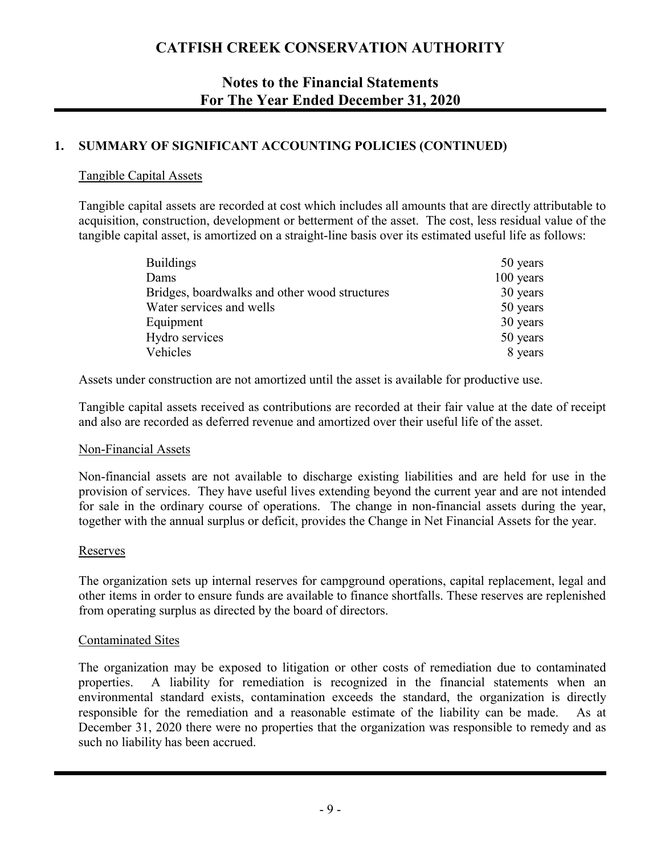## **Notes to the Financial Statements For The Year Ended December 31, 2020**

### **1. SUMMARY OF SIGNIFICANT ACCOUNTING POLICIES (CONTINUED)**

### Tangible Capital Assets

Tangible capital assets are recorded at cost which includes all amounts that are directly attributable to acquisition, construction, development or betterment of the asset. The cost, less residual value of the tangible capital asset, is amortized on a straight-line basis over its estimated useful life as follows:

| <b>Buildings</b>                              | 50 years  |
|-----------------------------------------------|-----------|
| Dams                                          | 100 years |
| Bridges, boardwalks and other wood structures | 30 years  |
| Water services and wells                      | 50 years  |
| Equipment                                     | 30 years  |
| Hydro services                                | 50 years  |
| Vehicles                                      | 8 years   |

Assets under construction are not amortized until the asset is available for productive use.

Tangible capital assets received as contributions are recorded at their fair value at the date of receipt and also are recorded as deferred revenue and amortized over their useful life of the asset.

#### Non-Financial Assets

Non-financial assets are not available to discharge existing liabilities and are held for use in the provision of services. They have useful lives extending beyond the current year and are not intended for sale in the ordinary course of operations. The change in non-financial assets during the year, together with the annual surplus or deficit, provides the Change in Net Financial Assets for the year.

### Reserves

The organization sets up internal reserves for campground operations, capital replacement, legal and other items in order to ensure funds are available to finance shortfalls. These reserves are replenished from operating surplus as directed by the board of directors.

#### Contaminated Sites

The organization may be exposed to litigation or other costs of remediation due to contaminated properties. A liability for remediation is recognized in the financial statements when an environmental standard exists, contamination exceeds the standard, the organization is directly responsible for the remediation and a reasonable estimate of the liability can be made. As at December 31, 2020 there were no properties that the organization was responsible to remedy and as such no liability has been accrued.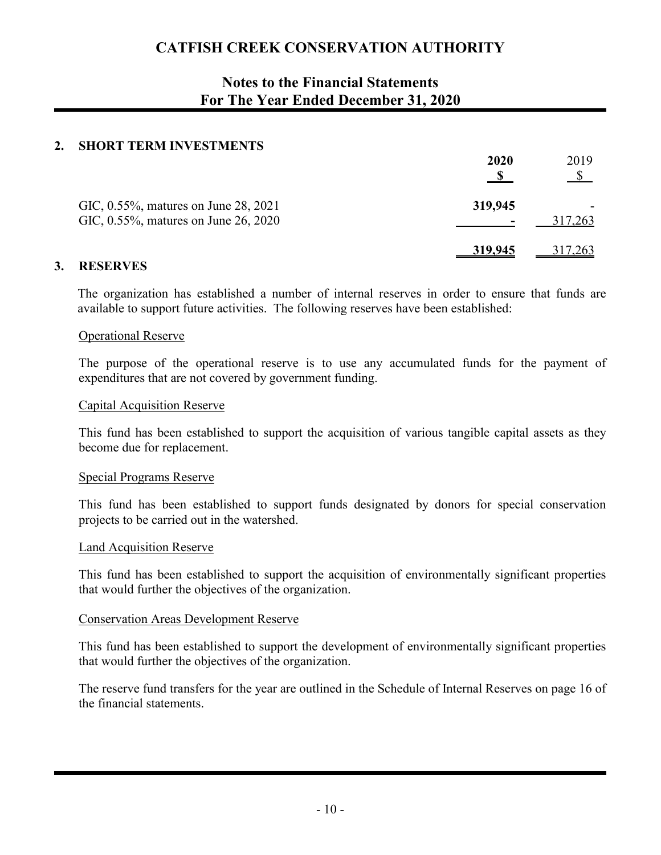## **Notes to the Financial Statements For The Year Ended December 31, 2020**

### **2. SHORT TERM INVESTMENTS**

|                                                                              | 2020    | 2019           |
|------------------------------------------------------------------------------|---------|----------------|
| GIC, 0.55%, matures on June 28, 2021<br>GIC, 0.55%, matures on June 26, 2020 | 319,945 | 317,263        |
|                                                                              | 319,945 | <u>317,263</u> |

### **3. RESERVES**

The organization has established a number of internal reserves in order to ensure that funds are available to support future activities. The following reserves have been established:

#### Operational Reserve

The purpose of the operational reserve is to use any accumulated funds for the payment of expenditures that are not covered by government funding.

#### Capital Acquisition Reserve

This fund has been established to support the acquisition of various tangible capital assets as they become due for replacement.

#### Special Programs Reserve

This fund has been established to support funds designated by donors for special conservation projects to be carried out in the watershed.

#### Land Acquisition Reserve

This fund has been established to support the acquisition of environmentally significant properties that would further the objectives of the organization.

#### Conservation Areas Development Reserve

This fund has been established to support the development of environmentally significant properties that would further the objectives of the organization.

The reserve fund transfers for the year are outlined in the Schedule of Internal Reserves on page 16 of the financial statements.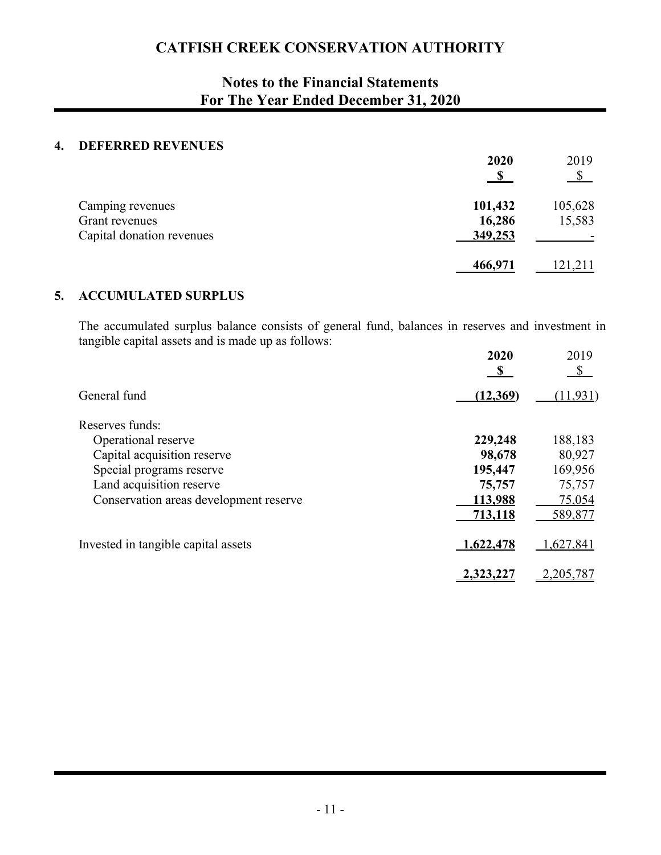## **Notes to the Financial Statements For The Year Ended December 31, 2020**

### **4. DEFERRED REVENUES**

|                                                                 | 2020                         | 2019<br>$\mathcal{S}$ |
|-----------------------------------------------------------------|------------------------------|-----------------------|
| Camping revenues<br>Grant revenues<br>Capital donation revenues | 101,432<br>16,286<br>349,253 | 105,628<br>15,583     |
|                                                                 | 466,971                      | 121,211               |

### **5. ACCUMULATED SURPLUS**

The accumulated surplus balance consists of general fund, balances in reserves and investment in tangible capital assets and is made up as follows:

|                                        | 2020<br>$\mathbf{s}$ | 2019<br>\$ |
|----------------------------------------|----------------------|------------|
| General fund                           | (12,369)             | (11, 931)  |
| Reserves funds:                        |                      |            |
| Operational reserve                    | 229,248              | 188,183    |
| Capital acquisition reserve            | 98,678               | 80,927     |
| Special programs reserve               | 195,447              | 169,956    |
| Land acquisition reserve               | 75,757               | 75,757     |
| Conservation areas development reserve | 113,988              | 75,054     |
|                                        | 713,118              | 589,877    |
| Invested in tangible capital assets    | 1,622,478            | 1,627,841  |
|                                        | 2,323,227            | 2,205,787  |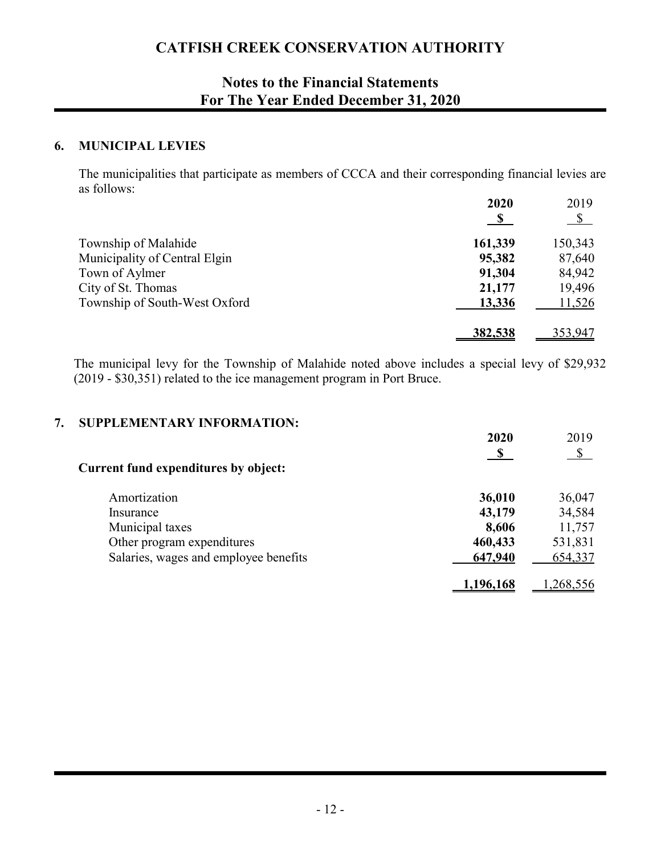## **Notes to the Financial Statements For The Year Ended December 31, 2020**

### **6. MUNICIPAL LEVIES**

The municipalities that participate as members of CCCA and their corresponding financial levies are as follows: **2020** 2019

|                               | 2020    | 2019    |
|-------------------------------|---------|---------|
|                               |         |         |
| Township of Malahide          | 161,339 | 150,343 |
| Municipality of Central Elgin | 95,382  | 87,640  |
| Town of Aylmer                | 91,304  | 84,942  |
| City of St. Thomas            | 21,177  | 19,496  |
| Township of South-West Oxford | 13,336  | 11,526  |
|                               | 382,538 | 353,947 |

The municipal levy for the Township of Malahide noted above includes a special levy of \$29,932 (2019 - \$30,351) related to the ice management program in Port Bruce.

### **7. SUPPLEMENTARY INFORMATION:**

|                                             | 2020     | 2019                   |
|---------------------------------------------|----------|------------------------|
|                                             |          | $\sqrt{\frac{2}{\pi}}$ |
| <b>Current fund expenditures by object:</b> |          |                        |
| Amortization                                | 36,010   | 36,047                 |
| Insurance                                   | 43,179   | 34,584                 |
| Municipal taxes                             | 8,606    | 11,757                 |
| Other program expenditures                  | 460,433  | 531,831                |
| Salaries, wages and employee benefits       | 647,940  | 654,337                |
|                                             | ,196,168 | ,268,556               |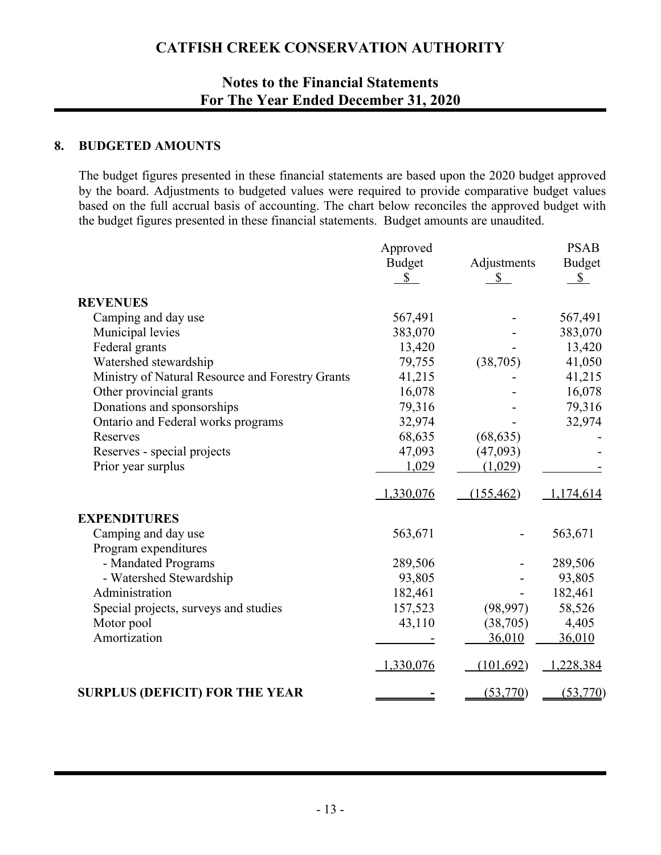## **Notes to the Financial Statements For The Year Ended December 31, 2020**

### **8. BUDGETED AMOUNTS**

The budget figures presented in these financial statements are based upon the 2020 budget approved by the board. Adjustments to budgeted values were required to provide comparative budget values based on the full accrual basis of accounting. The chart below reconciles the approved budget with the budget figures presented in these financial statements. Budget amounts are unaudited.

|                                                  | Approved            |                   | <b>PSAB</b>         |
|--------------------------------------------------|---------------------|-------------------|---------------------|
|                                                  | <b>Budget</b><br>\$ | Adjustments<br>\$ | <b>Budget</b><br>\$ |
| <b>REVENUES</b>                                  |                     |                   |                     |
| Camping and day use                              | 567,491             |                   | 567,491             |
| Municipal levies                                 | 383,070             |                   | 383,070             |
| Federal grants                                   | 13,420              |                   | 13,420              |
| Watershed stewardship                            | 79,755              | (38,705)          | 41,050              |
| Ministry of Natural Resource and Forestry Grants | 41,215              |                   | 41,215              |
| Other provincial grants                          | 16,078              |                   | 16,078              |
| Donations and sponsorships                       | 79,316              |                   | 79,316              |
| Ontario and Federal works programs               | 32,974              |                   | 32,974              |
| Reserves                                         | 68,635              | (68, 635)         |                     |
| Reserves - special projects                      | 47,093              | (47,093)          |                     |
| Prior year surplus                               | 1,029               | (1,029)           |                     |
|                                                  | 1,330,076           | (155, 462)        | 1,174,614           |
| <b>EXPENDITURES</b>                              |                     |                   |                     |
| Camping and day use                              | 563,671             |                   | 563,671             |
| Program expenditures                             |                     |                   |                     |
| - Mandated Programs                              | 289,506             |                   | 289,506             |
| - Watershed Stewardship                          | 93,805              |                   | 93,805              |
| Administration                                   | 182,461             |                   | 182,461             |
| Special projects, surveys and studies            | 157,523             | (98, 997)         | 58,526              |
| Motor pool                                       | 43,110              | (38,705)          | 4,405               |
| Amortization                                     |                     | 36,010            | 36,010              |
|                                                  | 1,330,076           | (101,692)         | 1,228,384           |
| <b>SURPLUS (DEFICIT) FOR THE YEAR</b>            |                     | (53, 770)         | (53, 770)           |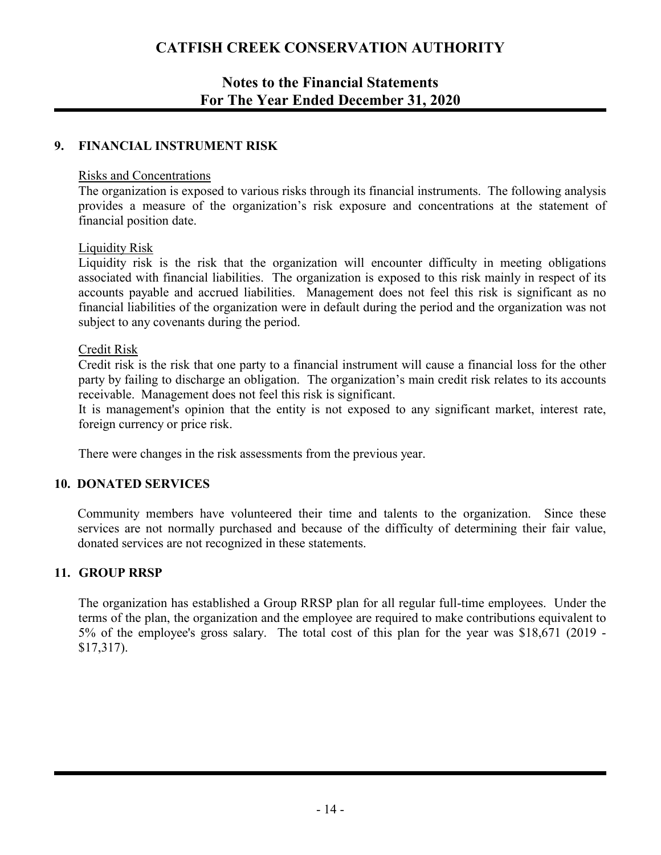## **Notes to the Financial Statements For The Year Ended December 31, 2020**

### **9. FINANCIAL INSTRUMENT RISK**

### Risks and Concentrations

The organization is exposed to various risks through its financial instruments. The following analysis provides a measure of the organization's risk exposure and concentrations at the statement of financial position date.

### Liquidity Risk

Liquidity risk is the risk that the organization will encounter difficulty in meeting obligations associated with financial liabilities. The organization is exposed to this risk mainly in respect of its accounts payable and accrued liabilities. Management does not feel this risk is significant as no financial liabilities of the organization were in default during the period and the organization was not subject to any covenants during the period.

### Credit Risk

Credit risk is the risk that one party to a financial instrument will cause a financial loss for the other party by failing to discharge an obligation. The organization's main credit risk relates to its accounts receivable. Management does not feel this risk is significant.

It is management's opinion that the entity is not exposed to any significant market, interest rate, foreign currency or price risk.

There were changes in the risk assessments from the previous year.

### **10. DONATED SERVICES**

Community members have volunteered their time and talents to the organization. Since these services are not normally purchased and because of the difficulty of determining their fair value, donated services are not recognized in these statements.

### **11. GROUP RRSP**

The organization has established a Group RRSP plan for all regular full-time employees. Under the terms of the plan, the organization and the employee are required to make contributions equivalent to 5% of the employee's gross salary. The total cost of this plan for the year was \$18,671 (2019 - \$17,317).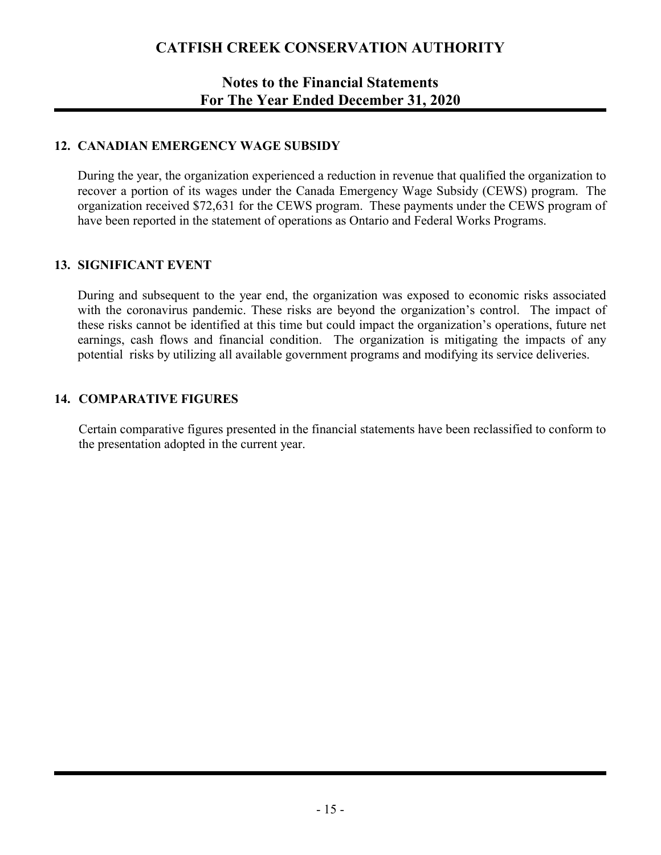## **Notes to the Financial Statements For The Year Ended December 31, 2020**

### **12. CANADIAN EMERGENCY WAGE SUBSIDY**

During the year, the organization experienced a reduction in revenue that qualified the organization to recover a portion of its wages under the Canada Emergency Wage Subsidy (CEWS) program. The organization received \$72,631 for the CEWS program. These payments under the CEWS program of have been reported in the statement of operations as Ontario and Federal Works Programs.

### **13. SIGNIFICANT EVENT**

During and subsequent to the year end, the organization was exposed to economic risks associated with the coronavirus pandemic. These risks are beyond the organization's control. The impact of these risks cannot be identified at this time but could impact the organization's operations, future net earnings, cash flows and financial condition. The organization is mitigating the impacts of any potential risks by utilizing all available government programs and modifying its service deliveries.

### **14. COMPARATIVE FIGURES**

Certain comparative figures presented in the financial statements have been reclassified to conform to the presentation adopted in the current year.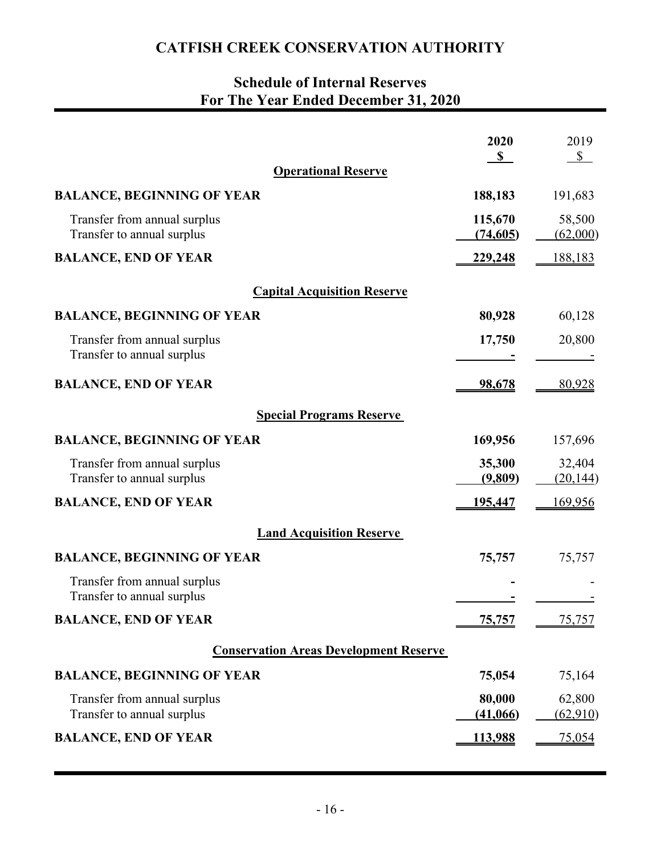# **Schedule of Internal Reserves For The Year Ended December 31, 2020**

|                                                            | 2020                | 2019                |
|------------------------------------------------------------|---------------------|---------------------|
| <b>Operational Reserve</b>                                 | $\mathbf S$         | $\mathbb{S}$        |
| <b>BALANCE, BEGINNING OF YEAR</b>                          | 188,183             | 191,683             |
| Transfer from annual surplus<br>Transfer to annual surplus | 115,670<br>(74,605) | 58,500<br>(62,000)  |
| <b>BALANCE, END OF YEAR</b>                                | 229,248             | 188,183             |
| <b>Capital Acquisition Reserve</b>                         |                     |                     |
| <b>BALANCE, BEGINNING OF YEAR</b>                          | 80,928              | 60,128              |
| Transfer from annual surplus<br>Transfer to annual surplus | 17,750              | 20,800              |
| <b>BALANCE, END OF YEAR</b>                                | 98,678              | 80,928              |
| <b>Special Programs Reserve</b>                            |                     |                     |
| <b>BALANCE, BEGINNING OF YEAR</b>                          | 169,956             | 157,696             |
| Transfer from annual surplus<br>Transfer to annual surplus | 35,300<br>(9,809)   | 32,404<br>(20, 144) |
| <b>BALANCE, END OF YEAR</b>                                | <u>195,447</u>      | <u>169,956</u>      |
| <b>Land Acquisition Reserve</b>                            |                     |                     |
| <b>BALANCE, BEGINNING OF YEAR</b>                          | 75,757              | 75,757              |
| Transfer from annual surplus<br>Transfer to annual surplus |                     |                     |
| <b>BALANCE, END OF YEAR</b>                                | <u>75,757</u>       | 75,757              |
| <b>Conservation Areas Development Reserve</b>              |                     |                     |
| <b>BALANCE, BEGINNING OF YEAR</b>                          | 75,054              | 75,164              |
| Transfer from annual surplus<br>Transfer to annual surplus | 80,000<br>(41,066)  | 62,800<br>(62,910)  |
| <b>BALANCE, END OF YEAR</b>                                | <u>113,988</u>      | 75,054              |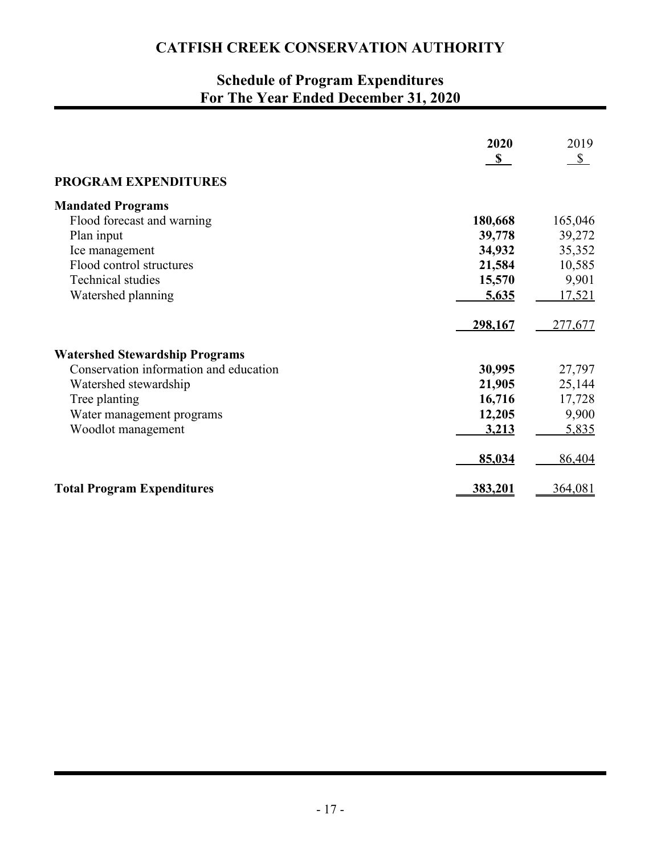# **Schedule of Program Expenditures For The Year Ended December 31, 2020**

|                                        | 2020         | 2019    |
|----------------------------------------|--------------|---------|
|                                        | $\mathbf{s}$ | S       |
| <b>PROGRAM EXPENDITURES</b>            |              |         |
| <b>Mandated Programs</b>               |              |         |
| Flood forecast and warning             | 180,668      | 165,046 |
| Plan input                             | 39,778       | 39,272  |
| Ice management                         | 34,932       | 35,352  |
| Flood control structures               | 21,584       | 10,585  |
| Technical studies                      | 15,570       | 9,901   |
| Watershed planning                     | 5,635        | 17,521  |
|                                        |              |         |
|                                        | 298,167      | 277,677 |
| <b>Watershed Stewardship Programs</b>  |              |         |
| Conservation information and education | 30,995       | 27,797  |
| Watershed stewardship                  | 21,905       | 25,144  |
| Tree planting                          | 16,716       | 17,728  |
| Water management programs              | 12,205       | 9,900   |
| Woodlot management                     | 3,213        | 5,835   |
|                                        | 85,034       | 86,404  |
| <b>Total Program Expenditures</b>      | 383,201      | 364,081 |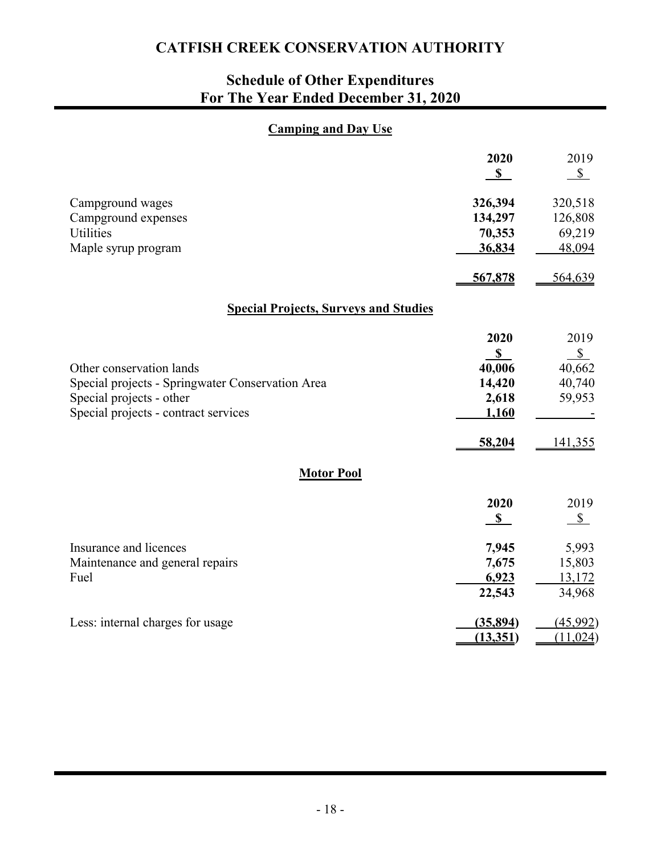# **Schedule of Other Expenditures For The Year Ended December 31, 2020**

### **Camping and Day Use**

|                                                  | 2020<br>S      | 2019<br>$\mathbb{S}$ |  |  |  |  |  |  |
|--------------------------------------------------|----------------|----------------------|--|--|--|--|--|--|
| Campground wages                                 | 326,394        | 320,518              |  |  |  |  |  |  |
| Campground expenses                              | 134,297        | 126,808              |  |  |  |  |  |  |
| <b>Utilities</b>                                 | 70,353         | 69,219               |  |  |  |  |  |  |
| Maple syrup program                              | 36,834         | 48,094               |  |  |  |  |  |  |
|                                                  | 567,878        | 564,639              |  |  |  |  |  |  |
| <b>Special Projects, Surveys and Studies</b>     |                |                      |  |  |  |  |  |  |
|                                                  | 2020           | 2019                 |  |  |  |  |  |  |
|                                                  | S              | $S_{-}$              |  |  |  |  |  |  |
| Other conservation lands                         | 40,006         | 40,662               |  |  |  |  |  |  |
| Special projects - Springwater Conservation Area | 14,420         | 40,740               |  |  |  |  |  |  |
| Special projects - other                         | 2,618<br>1,160 | 59,953               |  |  |  |  |  |  |
| Special projects - contract services             |                |                      |  |  |  |  |  |  |
|                                                  | 58,204         | 141,355              |  |  |  |  |  |  |
| <b>Motor Pool</b>                                |                |                      |  |  |  |  |  |  |
|                                                  | 2020           | 2019                 |  |  |  |  |  |  |
|                                                  | $\mathbf{s}$   | $S_{-}$              |  |  |  |  |  |  |
| Insurance and licences                           | 7,945          | 5,993                |  |  |  |  |  |  |
| Maintenance and general repairs                  | 7,675          | 15,803               |  |  |  |  |  |  |
| Fuel                                             | 6,923          | 13,172               |  |  |  |  |  |  |
|                                                  | 22,543         | 34,968               |  |  |  |  |  |  |
| Less: internal charges for usage                 | (35,894)       | (45,992)             |  |  |  |  |  |  |
|                                                  | (13,351)       | (11,024)             |  |  |  |  |  |  |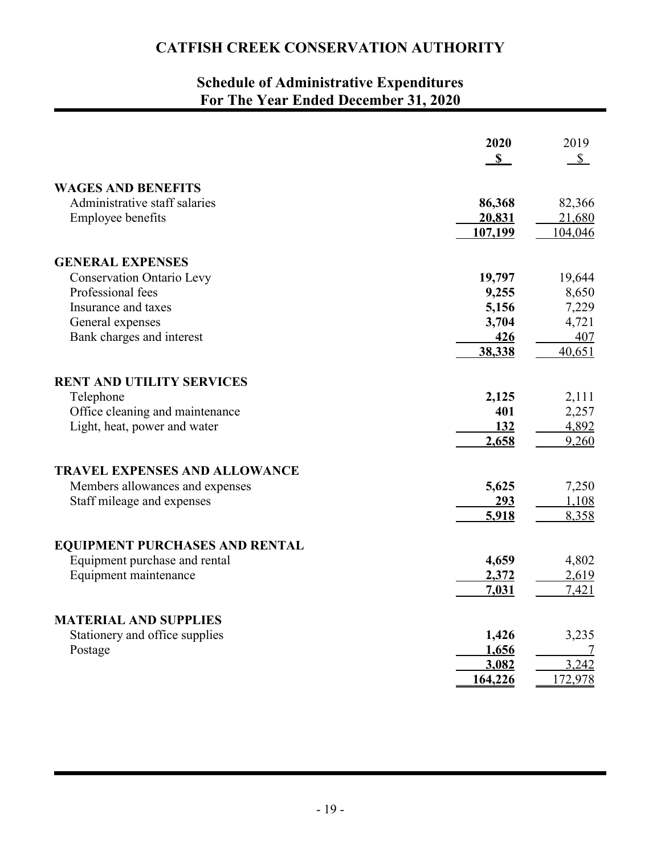# **Schedule of Administrative Expenditures For The Year Ended December 31, 2020**

|                                       | 2020<br>$\mathbf S$ | 2019<br>$\mathbb{S}$ |
|---------------------------------------|---------------------|----------------------|
| <b>WAGES AND BENEFITS</b>             |                     |                      |
| Administrative staff salaries         | 86,368              | 82,366               |
| <b>Employee benefits</b>              | 20,831              | 21,680               |
|                                       | 107,199             | 104,046              |
| <b>GENERAL EXPENSES</b>               |                     |                      |
| <b>Conservation Ontario Levy</b>      | 19,797              | 19,644               |
| Professional fees                     | 9,255               | 8,650                |
| Insurance and taxes                   | 5,156               | 7,229                |
| General expenses                      | 3,704               | 4,721                |
| Bank charges and interest             | 426                 | 407                  |
|                                       | 38,338              | 40,651               |
| <b>RENT AND UTILITY SERVICES</b>      |                     |                      |
| Telephone                             | 2,125               | 2,111                |
| Office cleaning and maintenance       | 401                 | 2,257                |
| Light, heat, power and water          | 132                 | 4,892                |
|                                       | 2,658               | 9,260                |
| <b>TRAVEL EXPENSES AND ALLOWANCE</b>  |                     |                      |
| Members allowances and expenses       | 5,625               | 7,250                |
| Staff mileage and expenses            | <u>293</u>          | 1,108                |
|                                       | 5,918               | 8,358                |
| <b>EQUIPMENT PURCHASES AND RENTAL</b> |                     |                      |
| Equipment purchase and rental         | 4,659               | 4,802                |
| Equipment maintenance                 | 2,372               | 2,619                |
|                                       | 7,031               | 7,421                |
| <b>MATERIAL AND SUPPLIES</b>          |                     |                      |
| Stationery and office supplies        | 1,426               | 3,235                |
| Postage                               | 1,656               | 7                    |
|                                       | 3,082               | 3,242                |
|                                       | 164,226             | 172,978              |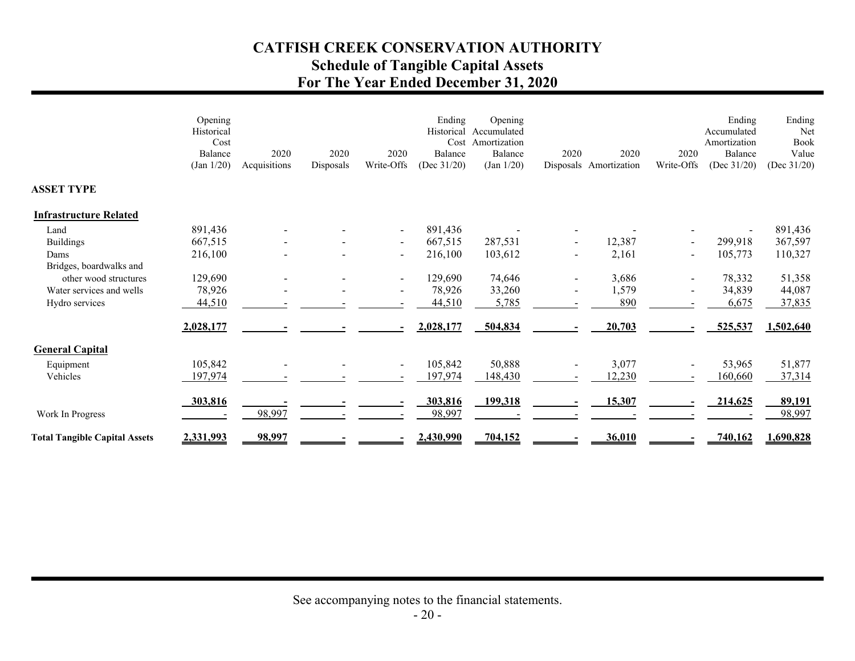## **CATFISH CREEK CONSERVATION AUTHORITY Schedule of Tangible Capital Assets**

# **For The Year Ended December 31, 2020**

|                                      | Opening<br>Historical<br>Cost<br>Balance<br>(Jan 1/20) | 2020<br>Acquisitions | 2020<br>Disposals | 2020<br>Write-Offs       | Ending<br>Historical<br>Cost<br>Balance<br>(Dec $31/20$ ) | Opening<br>Accumulated<br>Amortization<br>Balance<br>(Jan 1/20) | 2020           | 2020<br>Disposals Amortization | 2020<br>Write-Offs       | Ending<br>Accumulated<br>Amortization<br>Balance<br>(Dec $31/20$ ) | Ending<br>Net<br>Book<br>Value<br>(Dec $31/20$ ) |
|--------------------------------------|--------------------------------------------------------|----------------------|-------------------|--------------------------|-----------------------------------------------------------|-----------------------------------------------------------------|----------------|--------------------------------|--------------------------|--------------------------------------------------------------------|--------------------------------------------------|
| <b>ASSET TYPE</b>                    |                                                        |                      |                   |                          |                                                           |                                                                 |                |                                |                          |                                                                    |                                                  |
| <b>Infrastructure Related</b>        |                                                        |                      |                   |                          |                                                           |                                                                 |                |                                |                          |                                                                    |                                                  |
| Land                                 | 891,436                                                |                      |                   | $\blacksquare$           | 891,436                                                   |                                                                 |                |                                |                          |                                                                    | 891,436                                          |
| <b>Buildings</b>                     | 667,515                                                |                      |                   | $\overline{\phantom{a}}$ | 667,515                                                   | 287,531                                                         |                | 12,387                         |                          | 299,918                                                            | 367,597                                          |
| Dams                                 | 216,100                                                |                      |                   | $\blacksquare$           | 216,100                                                   | 103,612                                                         | $\blacksquare$ | 2,161                          | $\overline{\phantom{a}}$ | 105,773                                                            | 110,327                                          |
| Bridges, boardwalks and              |                                                        |                      |                   |                          |                                                           |                                                                 |                |                                |                          |                                                                    |                                                  |
| other wood structures                | 129,690                                                |                      |                   | $\blacksquare$           | 129,690                                                   | 74,646                                                          |                | 3,686                          |                          | 78,332                                                             | 51,358                                           |
| Water services and wells             | 78,926                                                 |                      |                   | $\overline{\phantom{0}}$ | 78,926                                                    | 33,260                                                          |                | 1,579                          |                          | 34,839                                                             | 44,087                                           |
| Hydro services                       | 44,510                                                 |                      |                   |                          | 44,510                                                    | 5,785                                                           |                | 890                            |                          | 6,675                                                              | 37,835                                           |
|                                      | 2,028,177                                              |                      |                   |                          | 2,028,177                                                 | 504,834                                                         |                | 20,703                         |                          | 525,537                                                            | 1,502,640                                        |
| <b>General Capital</b>               |                                                        |                      |                   |                          |                                                           |                                                                 |                |                                |                          |                                                                    |                                                  |
| Equipment                            | 105,842                                                |                      |                   | $\blacksquare$           | 105,842                                                   | 50,888                                                          |                | 3,077                          |                          | 53,965                                                             | 51,877                                           |
| Vehicles                             | 197,974                                                |                      |                   |                          | 197,974                                                   | 148,430                                                         |                | 12,230                         |                          | 160,660                                                            | 37,314                                           |
|                                      | 303,816                                                |                      |                   |                          | 303,816                                                   | 199,318                                                         |                | 15,307                         |                          | 214,625                                                            | 89,191                                           |
| Work In Progress                     |                                                        | 98,997               |                   |                          | 98,997                                                    |                                                                 |                |                                |                          |                                                                    | 98,997                                           |
| <b>Total Tangible Capital Assets</b> | 2,331,993                                              | 98,997               |                   |                          | 2,430,990                                                 | 704,152                                                         |                | 36,010                         |                          | 740,162                                                            | 1,690,828                                        |